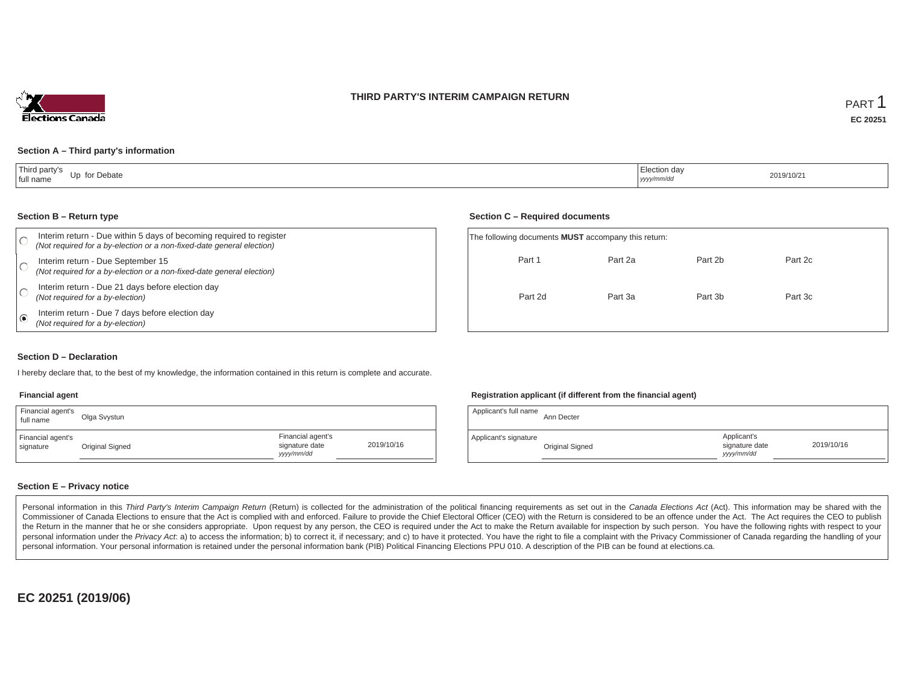



#### **Section A – Third party's information**

| Third party's<br>for Debate<br>l In<br>full name | .<br>  Election day<br>yyyy/mm/dd | 2019/10/21 |
|--------------------------------------------------|-----------------------------------|------------|
|--------------------------------------------------|-----------------------------------|------------|

#### **Section B – Return type**

|   | Interim return - Due within 5 days of becoming required to register<br>(Not required for a by-election or a non-fixed-date general election) | The following documents <b>MUST</b> accompany this return |         |
|---|----------------------------------------------------------------------------------------------------------------------------------------------|-----------------------------------------------------------|---------|
|   | Interim return - Due September 15<br>(Not required for a by-election or a non-fixed-date general election)                                   | Part 1                                                    | Part 2a |
|   | Interim return - Due 21 days before election day<br>(Not required for a by-election)                                                         | Part 2d                                                   | Part 3a |
| ⊚ | Interim return - Due 7 days before election day<br>(Not required for a by-election)                                                          |                                                           |         |

#### **Section C – Required documents**

| The following documents <b>MUST</b> accompany this return: |         |         |         |  |
|------------------------------------------------------------|---------|---------|---------|--|
| Part 1                                                     | Part 2a | Part 2b | Part 2c |  |
| Part 2d                                                    | Part 3a | Part 3b | Part 3c |  |

#### **Section D – Declaration**

I hereby declare that, to the best of my knowledge, the information contained in this return is complete and accurate.

## **Financial agent**

| Financial agent's<br>full name | Olga Svystun    |                                                  |            |
|--------------------------------|-----------------|--------------------------------------------------|------------|
| Financial agent's<br>signature | Original Signed | Financial agent's<br>signature date<br>vyy/mm/dd | 2019/10/16 |

## **Registration applicant (if different from the financial agent)**

| Applicant's full name | Ann Decter      |                                             |            |
|-----------------------|-----------------|---------------------------------------------|------------|
| Applicant's signature | Original Signed | Applicant's<br>signature date<br>vyyy/mm/dd | 2019/10/16 |

# **Section E – Privacy notice**

Personal information in this Third Party's Interim Campaign Return (Return) is collected for the administration of the political financing requirements as set out in the Canada Elections Act (Act). This information may be Commissioner of Canada Elections to ensure that the Act is complied with and enforced. Failure to provide the Chief Electoral Officer (CEO) with the Return is considered to be an offence under the Act. The Act requires the the Return in the manner that he or she considers appropriate. Upon request by any person, the CEO is required under the Act to make the Return available for inspection by such person. You have the following rights with re personal information under the Privacy Act. a) to access the information; b) to correct it, if necessary; and c) to have it protected. You have the right to file a complaint with the Privacy Commissioner of Canada regardin personal information. Your personal information is retained under the personal information bank (PIB) Political Financing Elections PPU 010. A description of the PIB can be found at elections.ca.

**EC 20251 (2019/06)**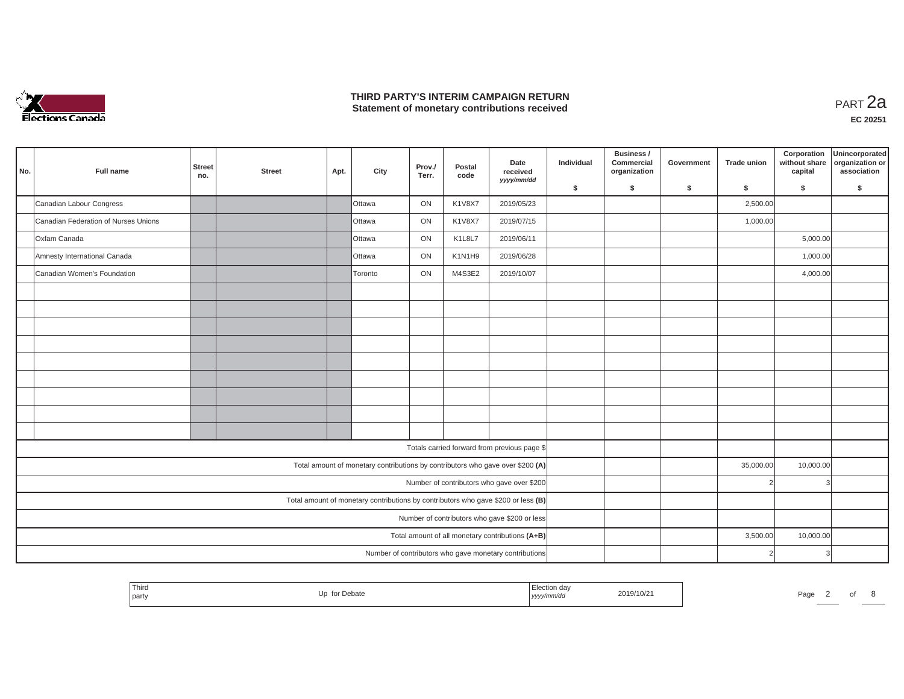

### **THIRD PARTY'S INTERIM CAMPAIGN RETURN THIRD PARTY'S INTERIM CAMPAIGN RETURN<br>Statement of monetary contributions received PART 2a**

| No. | Full name                                                                         | <b>Street</b><br>no. | <b>Street</b> | Apt. | City                                                                           | Prov./<br>Terr. | Postal<br>code | Date<br>received<br>yyyy/mm/dd                         | Individual | Business /<br>Commercial<br>organization | Government | <b>Trade union</b> | Corporation<br>without share<br>capital | Unincorporated<br>organization or<br>association |
|-----|-----------------------------------------------------------------------------------|----------------------|---------------|------|--------------------------------------------------------------------------------|-----------------|----------------|--------------------------------------------------------|------------|------------------------------------------|------------|--------------------|-----------------------------------------|--------------------------------------------------|
|     |                                                                                   |                      |               |      |                                                                                |                 |                |                                                        | \$         | s.                                       | \$         | S.                 | \$                                      | S.                                               |
|     | Canadian Labour Congress                                                          |                      |               |      | Ottawa                                                                         | ON              | <b>K1V8X7</b>  | 2019/05/23                                             |            |                                          |            | 2,500.00           |                                         |                                                  |
|     | Canadian Federation of Nurses Unions                                              |                      |               |      | <b>Ottawa</b>                                                                  | ON              | <b>K1V8X7</b>  | 2019/07/15                                             |            |                                          |            | 1,000.00           |                                         |                                                  |
|     | Oxfam Canada                                                                      |                      |               |      | Ottawa                                                                         | ON              | K1L8L7         | 2019/06/11                                             |            |                                          |            |                    | 5,000.00                                |                                                  |
|     | Amnesty International Canada                                                      |                      |               |      | Ottawa                                                                         | ON              | K1N1H9         | 2019/06/28                                             |            |                                          |            |                    | 1,000.00                                |                                                  |
|     | Canadian Women's Foundation                                                       |                      |               |      | Toronto                                                                        | ON              | M4S3E2         | 2019/10/07                                             |            |                                          |            |                    | 4,000.00                                |                                                  |
|     |                                                                                   |                      |               |      |                                                                                |                 |                |                                                        |            |                                          |            |                    |                                         |                                                  |
|     |                                                                                   |                      |               |      |                                                                                |                 |                |                                                        |            |                                          |            |                    |                                         |                                                  |
|     |                                                                                   |                      |               |      |                                                                                |                 |                |                                                        |            |                                          |            |                    |                                         |                                                  |
|     |                                                                                   |                      |               |      |                                                                                |                 |                |                                                        |            |                                          |            |                    |                                         |                                                  |
|     |                                                                                   |                      |               |      |                                                                                |                 |                |                                                        |            |                                          |            |                    |                                         |                                                  |
|     |                                                                                   |                      |               |      |                                                                                |                 |                |                                                        |            |                                          |            |                    |                                         |                                                  |
|     |                                                                                   |                      |               |      |                                                                                |                 |                |                                                        |            |                                          |            |                    |                                         |                                                  |
|     |                                                                                   |                      |               |      |                                                                                |                 |                |                                                        |            |                                          |            |                    |                                         |                                                  |
|     |                                                                                   |                      |               |      |                                                                                |                 |                |                                                        |            |                                          |            |                    |                                         |                                                  |
|     |                                                                                   |                      |               |      |                                                                                |                 |                | Totals carried forward from previous page \$           |            |                                          |            |                    |                                         |                                                  |
|     |                                                                                   |                      |               |      | Total amount of monetary contributions by contributors who gave over \$200 (A) |                 |                |                                                        |            |                                          |            | 35,000.00          | 10,000.00                               |                                                  |
|     |                                                                                   |                      |               |      |                                                                                |                 |                | Number of contributors who gave over \$200             |            |                                          |            |                    | 3                                       |                                                  |
|     | Total amount of monetary contributions by contributors who gave \$200 or less (B) |                      |               |      |                                                                                |                 |                |                                                        |            |                                          |            |                    |                                         |                                                  |
|     | Number of contributors who gave \$200 or less                                     |                      |               |      |                                                                                |                 |                |                                                        |            |                                          |            |                    |                                         |                                                  |
|     | Total amount of all monetary contributions (A+B)                                  |                      |               |      |                                                                                |                 |                |                                                        |            |                                          |            | 3,500.00           | 10,000.00                               |                                                  |
|     |                                                                                   |                      |               |      |                                                                                |                 |                | Number of contributors who gave monetary contributions |            |                                          |            |                    | 3                                       |                                                  |

| Third<br>_iection *<br>2019/10/2<br>.<br>for Debate<br>. In<br>$P$ agu<br>I party<br>  yyyy/mm/aa<br>------ |  |  |  |  |  |  |  |  |  |
|-------------------------------------------------------------------------------------------------------------|--|--|--|--|--|--|--|--|--|
|-------------------------------------------------------------------------------------------------------------|--|--|--|--|--|--|--|--|--|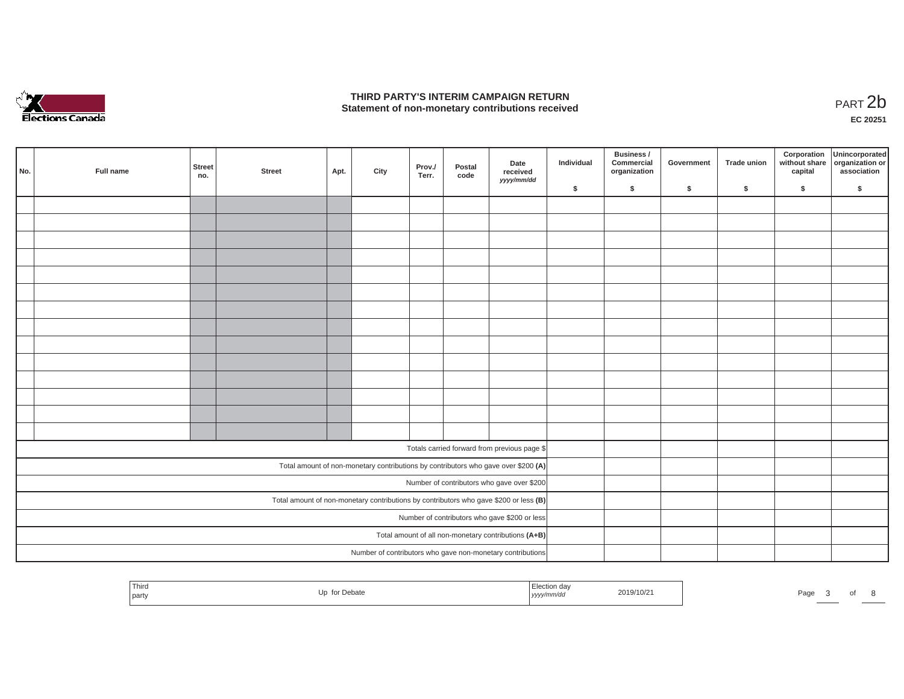

### **THIRD PARTY'S INTERIM CAMPAIGN RETURN**  THIRD PARTY'S INTERIM CAMPAIGN RETURN<br>Statement of non-monetary contributions received<br>**PART 2**b

**EC 20251**

| No.                                                                                   | Full name | Street<br>no. | <b>Street</b> | Apt. | City | Prov./<br>Terr. | Postal<br>code | Date<br>received<br>yyyy/mm/dd                                                     | Individual | Business /<br>Commercial<br>organization | Government | Trade union | Corporation<br>capital | Unincorporated<br>without share organization or<br>association |
|---------------------------------------------------------------------------------------|-----------|---------------|---------------|------|------|-----------------|----------------|------------------------------------------------------------------------------------|------------|------------------------------------------|------------|-------------|------------------------|----------------------------------------------------------------|
|                                                                                       |           |               |               |      |      |                 |                |                                                                                    | \$         | $\mathsf{s}$                             | \$         | $\sqrt{2}$  | \$                     | \$                                                             |
|                                                                                       |           |               |               |      |      |                 |                |                                                                                    |            |                                          |            |             |                        |                                                                |
|                                                                                       |           |               |               |      |      |                 |                |                                                                                    |            |                                          |            |             |                        |                                                                |
|                                                                                       |           |               |               |      |      |                 |                |                                                                                    |            |                                          |            |             |                        |                                                                |
|                                                                                       |           |               |               |      |      |                 |                |                                                                                    |            |                                          |            |             |                        |                                                                |
|                                                                                       |           |               |               |      |      |                 |                |                                                                                    |            |                                          |            |             |                        |                                                                |
|                                                                                       |           |               |               |      |      |                 |                |                                                                                    |            |                                          |            |             |                        |                                                                |
|                                                                                       |           |               |               |      |      |                 |                |                                                                                    |            |                                          |            |             |                        |                                                                |
|                                                                                       |           |               |               |      |      |                 |                |                                                                                    |            |                                          |            |             |                        |                                                                |
|                                                                                       |           |               |               |      |      |                 |                |                                                                                    |            |                                          |            |             |                        |                                                                |
|                                                                                       |           |               |               |      |      |                 |                |                                                                                    |            |                                          |            |             |                        |                                                                |
|                                                                                       |           |               |               |      |      |                 |                |                                                                                    |            |                                          |            |             |                        |                                                                |
|                                                                                       |           |               |               |      |      |                 |                |                                                                                    |            |                                          |            |             |                        |                                                                |
|                                                                                       |           |               |               |      |      |                 |                |                                                                                    |            |                                          |            |             |                        |                                                                |
|                                                                                       |           |               |               |      |      |                 |                |                                                                                    |            |                                          |            |             |                        |                                                                |
|                                                                                       |           |               |               |      |      |                 |                |                                                                                    |            |                                          |            |             |                        |                                                                |
|                                                                                       |           |               |               |      |      |                 |                | Totals carried forward from previous page \$                                       |            |                                          |            |             |                        |                                                                |
|                                                                                       |           |               |               |      |      |                 |                | Total amount of non-monetary contributions by contributors who gave over \$200 (A) |            |                                          |            |             |                        |                                                                |
| Number of contributors who gave over \$200                                            |           |               |               |      |      |                 |                |                                                                                    |            |                                          |            |             |                        |                                                                |
| Total amount of non-monetary contributions by contributors who gave \$200 or less (B) |           |               |               |      |      |                 |                |                                                                                    |            |                                          |            |             |                        |                                                                |
| Number of contributors who gave \$200 or less                                         |           |               |               |      |      |                 |                |                                                                                    |            |                                          |            |             |                        |                                                                |
| Total amount of all non-monetary contributions (A+B)                                  |           |               |               |      |      |                 |                |                                                                                    |            |                                          |            |             |                        |                                                                |
|                                                                                       |           |               |               |      |      |                 |                | Number of contributors who gave non-monetary contributions                         |            |                                          |            |             |                        |                                                                |
|                                                                                       |           |               |               |      |      |                 |                |                                                                                    |            |                                          |            |             |                        |                                                                |

| ' Third<br>party | Up for Debate | lection day<br>yyyy/mm/dd | 2019/10/21 | Page | $\overline{\phantom{a}}$ |  |  |
|------------------|---------------|---------------------------|------------|------|--------------------------|--|--|
|                  |               |                           |            |      |                          |  |  |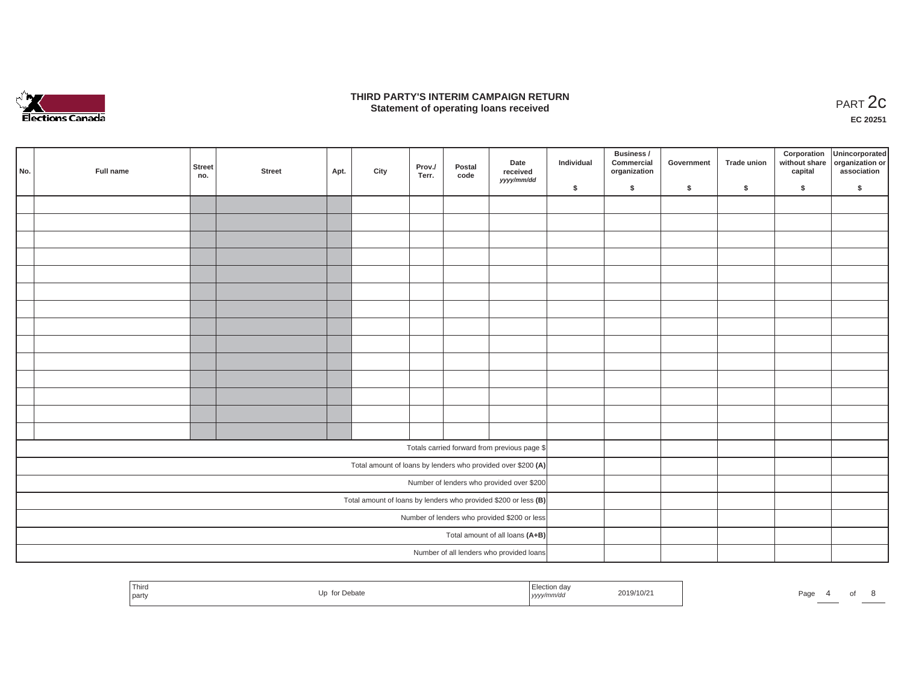

### **THIRD PARTY'S INTERIM CAMPAIGN RETURN**  RD PARTY'S INTERIM CAMPAIGN RETURN<br>Statement of operating loans received **PART 2c**

**EC 20251**

| No.                                          | Full name | <b>Street</b><br>no. | <b>Street</b>                                                     | Apt. | City | Prov./<br>Terr. | Postal<br>code | Date<br>received<br>yyyy/mm/dd                               | Individual | Business /<br>Commercial<br>organization | Government | Trade union | Corporation<br>capital | Unincorporated<br>without share organization or<br>association |
|----------------------------------------------|-----------|----------------------|-------------------------------------------------------------------|------|------|-----------------|----------------|--------------------------------------------------------------|------------|------------------------------------------|------------|-------------|------------------------|----------------------------------------------------------------|
|                                              |           |                      |                                                                   |      |      |                 |                |                                                              | \$         | $\sqrt{2}$                               | \$         | $\sqrt{2}$  | \$                     | \$                                                             |
|                                              |           |                      |                                                                   |      |      |                 |                |                                                              |            |                                          |            |             |                        |                                                                |
|                                              |           |                      |                                                                   |      |      |                 |                |                                                              |            |                                          |            |             |                        |                                                                |
|                                              |           |                      |                                                                   |      |      |                 |                |                                                              |            |                                          |            |             |                        |                                                                |
|                                              |           |                      |                                                                   |      |      |                 |                |                                                              |            |                                          |            |             |                        |                                                                |
|                                              |           |                      |                                                                   |      |      |                 |                |                                                              |            |                                          |            |             |                        |                                                                |
|                                              |           |                      |                                                                   |      |      |                 |                |                                                              |            |                                          |            |             |                        |                                                                |
|                                              |           |                      |                                                                   |      |      |                 |                |                                                              |            |                                          |            |             |                        |                                                                |
|                                              |           |                      |                                                                   |      |      |                 |                |                                                              |            |                                          |            |             |                        |                                                                |
|                                              |           |                      |                                                                   |      |      |                 |                |                                                              |            |                                          |            |             |                        |                                                                |
|                                              |           |                      |                                                                   |      |      |                 |                |                                                              |            |                                          |            |             |                        |                                                                |
|                                              |           |                      |                                                                   |      |      |                 |                |                                                              |            |                                          |            |             |                        |                                                                |
|                                              |           |                      |                                                                   |      |      |                 |                |                                                              |            |                                          |            |             |                        |                                                                |
|                                              |           |                      |                                                                   |      |      |                 |                |                                                              |            |                                          |            |             |                        |                                                                |
|                                              |           |                      |                                                                   |      |      |                 |                |                                                              |            |                                          |            |             |                        |                                                                |
|                                              |           |                      |                                                                   |      |      |                 |                | Totals carried forward from previous page \$                 |            |                                          |            |             |                        |                                                                |
|                                              |           |                      |                                                                   |      |      |                 |                | Total amount of loans by lenders who provided over \$200 (A) |            |                                          |            |             |                        |                                                                |
|                                              |           |                      |                                                                   |      |      |                 |                | Number of lenders who provided over \$200                    |            |                                          |            |             |                        |                                                                |
|                                              |           |                      | Total amount of loans by lenders who provided \$200 or less $(B)$ |      |      |                 |                |                                                              |            |                                          |            |             |                        |                                                                |
| Number of lenders who provided \$200 or less |           |                      |                                                                   |      |      |                 |                |                                                              |            |                                          |            |             |                        |                                                                |
| Total amount of all loans (A+B)              |           |                      |                                                                   |      |      |                 |                |                                                              |            |                                          |            |             |                        |                                                                |
|                                              |           |                      |                                                                   |      |      |                 |                | Number of all lenders who provided loans                     |            |                                          |            |             |                        |                                                                |

| Third   | for Debate | Election day | 2019/10/21 | Page |  |  |
|---------|------------|--------------|------------|------|--|--|
| I party |            | yyyy/mm/dd   |            |      |  |  |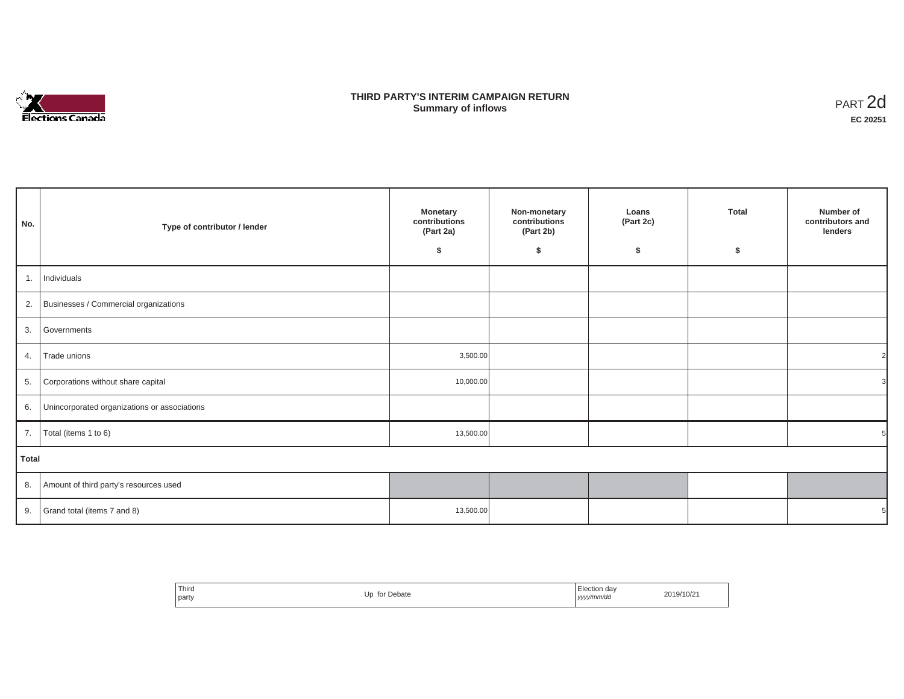

## **THIRD PARTY'S INTERIM CAMPAIGN RETURN SUMMARY STATE SUMMARY OF A SUMMARY OF A SUMMARY OF A SUMMARY OF A SUMMARY OF A SUMMARY OF A SUMMARY OF A SUMMA**<br> **Summary of inflows**

| No.          | Type of contributor / lender                    | <b>Monetary</b><br>contributions<br>(Part 2a)<br>\$ | Non-monetary<br>contributions<br>(Part 2b)<br>\$ | Loans<br>(Part 2c)<br>\$ | <b>Total</b><br>\$ | Number of<br>contributors and<br>lenders |
|--------------|-------------------------------------------------|-----------------------------------------------------|--------------------------------------------------|--------------------------|--------------------|------------------------------------------|
| 1.           | Individuals                                     |                                                     |                                                  |                          |                    |                                          |
|              | 2. Businesses / Commercial organizations        |                                                     |                                                  |                          |                    |                                          |
|              | 3. Governments                                  |                                                     |                                                  |                          |                    |                                          |
| 4.           | Trade unions                                    | 3,500.00                                            |                                                  |                          |                    |                                          |
| 5.           | Corporations without share capital              | 10,000.00                                           |                                                  |                          |                    |                                          |
|              | 6. Unincorporated organizations or associations |                                                     |                                                  |                          |                    |                                          |
| 7.           | Total (items 1 to 6)                            | 13,500.00                                           |                                                  |                          |                    |                                          |
| <b>Total</b> |                                                 |                                                     |                                                  |                          |                    |                                          |
|              | 8. Amount of third party's resources used       |                                                     |                                                  |                          |                    |                                          |
|              | 9. $\int$ Grand total (items 7 and 8)           | 13,500.00                                           |                                                  |                          |                    |                                          |

| ' Third<br>for Debate<br>party | Election dav<br>2019/10/21<br>yyyy/mm/dd<br>,,,,<br>. |  |
|--------------------------------|-------------------------------------------------------|--|
|--------------------------------|-------------------------------------------------------|--|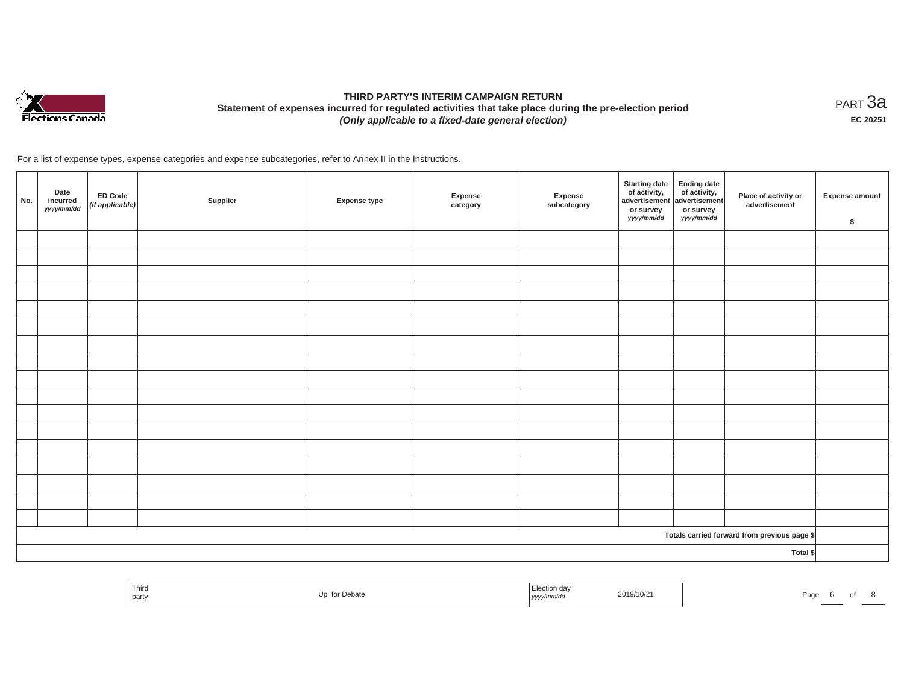

# **THIRD PARTY'S INTERIM CAMPAIGN RETURN Statement of expenses incurred for regulated activities that take place during the pre-election period**  *(Only applicable to a fixed-date general election)*

<code>PART $3$ a</code> **EC 20251**

For a list of expense types, expense categories and expense subcategories, refer to Annex II in the Instructions.

| No. | Date<br>incurred<br>yyyy/mm/dd | ED Code<br>(if applicable) | Supplier | <b>Expense type</b> | Expense<br>category | Expense<br>subcategory | <b>Starting date</b><br>of activity,<br>advertisement<br>or survey<br>yyyy/mm/dd | Ending date<br>of activity,<br>advertisement<br>or survey<br>yyyy/mm/dd | Place of activity or<br>advertisement        | <b>Expense amount</b><br>\$ |
|-----|--------------------------------|----------------------------|----------|---------------------|---------------------|------------------------|----------------------------------------------------------------------------------|-------------------------------------------------------------------------|----------------------------------------------|-----------------------------|
|     |                                |                            |          |                     |                     |                        |                                                                                  |                                                                         |                                              |                             |
|     |                                |                            |          |                     |                     |                        |                                                                                  |                                                                         |                                              |                             |
|     |                                |                            |          |                     |                     |                        |                                                                                  |                                                                         |                                              |                             |
|     |                                |                            |          |                     |                     |                        |                                                                                  |                                                                         |                                              |                             |
|     |                                |                            |          |                     |                     |                        |                                                                                  |                                                                         |                                              |                             |
|     |                                |                            |          |                     |                     |                        |                                                                                  |                                                                         |                                              |                             |
|     |                                |                            |          |                     |                     |                        |                                                                                  |                                                                         |                                              |                             |
|     |                                |                            |          |                     |                     |                        |                                                                                  |                                                                         |                                              |                             |
|     |                                |                            |          |                     |                     |                        |                                                                                  |                                                                         |                                              |                             |
|     |                                |                            |          |                     |                     |                        |                                                                                  |                                                                         |                                              |                             |
|     |                                |                            |          |                     |                     |                        |                                                                                  |                                                                         |                                              |                             |
|     |                                |                            |          |                     |                     |                        |                                                                                  |                                                                         |                                              |                             |
|     |                                |                            |          |                     |                     |                        |                                                                                  |                                                                         |                                              |                             |
|     |                                |                            |          |                     |                     |                        |                                                                                  |                                                                         |                                              |                             |
|     |                                |                            |          |                     |                     |                        |                                                                                  |                                                                         |                                              |                             |
|     |                                |                            |          |                     |                     |                        |                                                                                  |                                                                         |                                              |                             |
|     |                                |                            |          |                     |                     |                        |                                                                                  |                                                                         |                                              |                             |
|     |                                |                            |          |                     |                     |                        |                                                                                  |                                                                         | Totals carried forward from previous page \$ |                             |
|     | Total \$                       |                            |          |                     |                     |                        |                                                                                  |                                                                         |                                              |                             |

| Third<br>party | for Debate | $   -$<br>,,,,, | 2019/10/21 | $P_{\text{AOL}}$ |  |  |
|----------------|------------|-----------------|------------|------------------|--|--|
|                |            |                 |            |                  |  |  |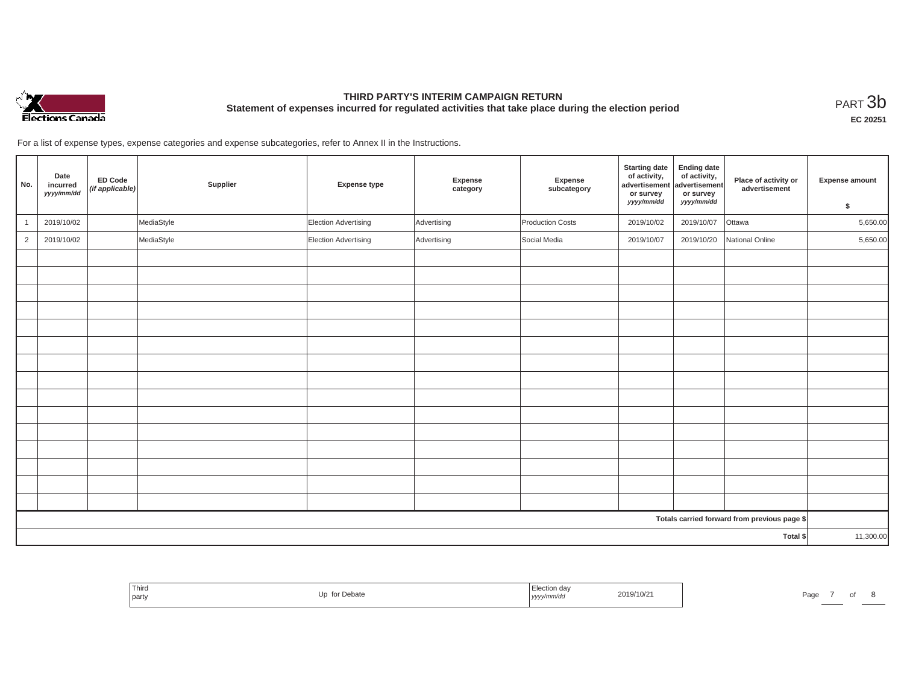

## **THIRD PARTY'S INTERIM CAMPAIGN RETURN Statement of expenses incurred for regulated activities that take place during the election period**<br>PART  $3\text{b}$

**EC 20251**

For a list of expense types, expense categories and expense subcategories, refer to Annex II in the Instructions.

| No.            | Date<br>incurred<br>yyyy/mm/dd | <b>ED Code</b><br>(if applicable) | Supplier   | Expense type         | Expense<br>category | Expense<br>subcategory | <b>Starting date</b><br>of activity,<br>advertisement<br>or survey<br>yyyy/mm/dd | <b>Ending date</b><br>of activity,<br>advertisement<br>or survey<br>yyyy/mm/dd | Place of activity or<br>advertisement        | <b>Expense amount</b><br>\$ |  |
|----------------|--------------------------------|-----------------------------------|------------|----------------------|---------------------|------------------------|----------------------------------------------------------------------------------|--------------------------------------------------------------------------------|----------------------------------------------|-----------------------------|--|
|                | 2019/10/02                     |                                   | MediaStyle | Election Advertising | Advertising         | Production Costs       | 2019/10/02                                                                       | 2019/10/07                                                                     | Ottawa                                       | 5,650.00                    |  |
| $\overline{2}$ | 2019/10/02                     |                                   | MediaStyle | Election Advertising | Advertising         | Social Media           | 2019/10/07                                                                       | 2019/10/20                                                                     | National Online                              | 5,650.00                    |  |
|                |                                |                                   |            |                      |                     |                        |                                                                                  |                                                                                |                                              |                             |  |
|                |                                |                                   |            |                      |                     |                        |                                                                                  |                                                                                |                                              |                             |  |
|                |                                |                                   |            |                      |                     |                        |                                                                                  |                                                                                |                                              |                             |  |
|                |                                |                                   |            |                      |                     |                        |                                                                                  |                                                                                |                                              |                             |  |
|                |                                |                                   |            |                      |                     |                        |                                                                                  |                                                                                |                                              |                             |  |
|                |                                |                                   |            |                      |                     |                        |                                                                                  |                                                                                |                                              |                             |  |
|                |                                |                                   |            |                      |                     |                        |                                                                                  |                                                                                |                                              |                             |  |
|                |                                |                                   |            |                      |                     |                        |                                                                                  |                                                                                |                                              |                             |  |
|                |                                |                                   |            |                      |                     |                        |                                                                                  |                                                                                |                                              |                             |  |
|                |                                |                                   |            |                      |                     |                        |                                                                                  |                                                                                |                                              |                             |  |
|                |                                |                                   |            |                      |                     |                        |                                                                                  |                                                                                |                                              |                             |  |
|                |                                |                                   |            |                      |                     |                        |                                                                                  |                                                                                |                                              |                             |  |
|                |                                |                                   |            |                      |                     |                        |                                                                                  |                                                                                |                                              |                             |  |
|                |                                |                                   |            |                      |                     |                        |                                                                                  |                                                                                |                                              |                             |  |
|                |                                |                                   |            |                      |                     |                        |                                                                                  |                                                                                |                                              |                             |  |
|                |                                |                                   |            |                      |                     |                        |                                                                                  |                                                                                | Totals carried forward from previous page \$ |                             |  |
| Total \$       |                                |                                   |            |                      |                     |                        | 11,300.00                                                                        |                                                                                |                                              |                             |  |

| Third<br>Debate<br>party<br>----- | rection da.<br>2019/10/21<br>yyyy/mm/aa | Page |
|-----------------------------------|-----------------------------------------|------|
|-----------------------------------|-----------------------------------------|------|